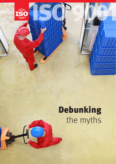

# **Debunking** the myths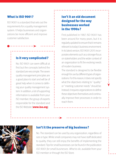#### What is ISO 9001?

ISO 9001 is a standard that sets out the requirements for a quality management system. It helps businesses and organizations be more efficient and improve customer satisfaction.

#### Is it very complicated?

No. ISO 9001 can seem difficult at first but the concepts behind the standard are very simple. The seven quality management principles are a good place to start and will be of great help when it comes to defining your quality management system. In addition, a lot of supporting information is available from your ISO member, the group of experts responsible for the standard and the ISO Website (**www.iso.org**).

## Isn't it an old document designed for the way businesses worked in the 1990s?

First published in 1987, ISO 9001 has been around for many years, but it is regularly updated to ensure that it remains relevant to today's business environment. In its latest version, ISO 9001:2015 incorporates elements such as a stronger focus on stakeholders and the wider context of an organization to fit the evolving needs of modern business.

The standard is designed to be flexible enough for use by different types of organizations. For this reason, it does not specify what the objectives relating to "quality" or "meeting customer needs" should be. Instead, it requires organizations to define these objectives themselves and continually improve their processes in order to reach them.



### Isn't it the preserve of big business?

No. The standard can be used by any organization, regardless of size or type. While small companies may not have staff dedicated to quality, they can still enjoy the benefits of implementing the standard. Tips for small businesses can be found in the publication ISO 9001 for small businesses. What to do, available from your ISO member or through the ISO Store.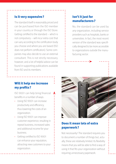#### Is it very expensive?

The standard itself is reasonably priced and can be purchased from the ISO member in your country or through the ISO Store. Getting certified to the standard – which is not compulsory – will incur extra cost that can vary according to the certification body you choose and where you are based (ISO does not perform certification). Some companies may also decide to use an external consultant. This is not strictly necessary, however, and a lot of helpful advice can be found in supporting publications available from ISO and its members.

#### Isn't it just for manufacturers?

No, the standard can be used by any organization, including service providers such as hospitals, banks or universities. In fact, the most recent version of the standard was specifically designed to be more accessible to organizations outside the manufacturing sector.

#### Will it help me increase my profits?

ISO 9001 can help bring financial benefits in a number of ways:

- Using ISO 9001 can increase productivity and efficiency, thus lowering the costs of an organization.
- Using ISO 9001 can improve customer experience, resulting in repeat business, increased sales and additional income for your business.
- Getting certified to ISO 9001 can enhance your reputation, attracting new customers to your organization.



# Does it mean lots of extra paperwork?

Not necessarily! The standard requires you to document a number of things but, actually, these are relatively limited. Its flexibility means that you will be able to find a way of using it that fits your organization without requiring unnecessary paperwork.